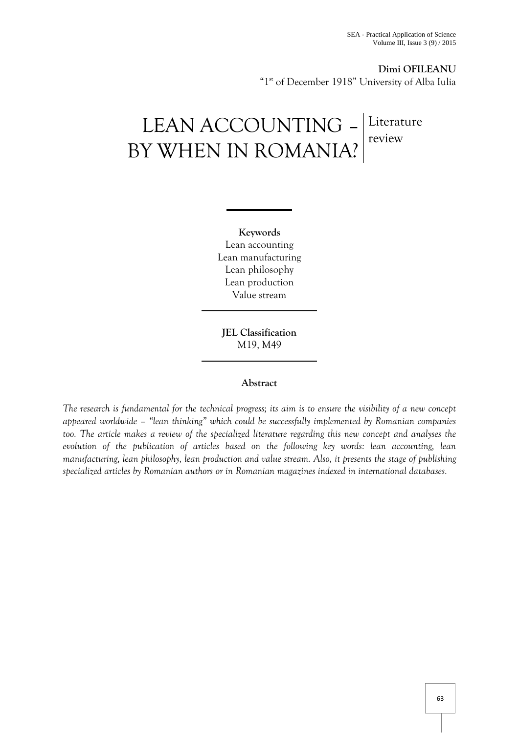**Dimi OFILEANU** "1<sup>st</sup> of December 1918" University of Alba Iulia

# LEAN ACCOUNTING – BY WHEN IN ROMANIA? Literature review

**Keywords** Lean accounting Lean manufacturing Lean philosophy Lean production Value stream

**JEL Classification**  M19, M49

#### **Abstract**

*The research is fundamental for the technical progress; its aim is to ensure the visibility of a new concept appeared worldwide – "lean thinking" which could be successfully implemented by Romanian companies too. The article makes a review of the specialized literature regarding this new concept and analyses the evolution of the publication of articles based on the following key words: lean accounting, lean manufacturing, lean philosophy, lean production and value stream. Also, it presents the stage of publishing specialized articles by Romanian authors or in Romanian magazines indexed in international databases.*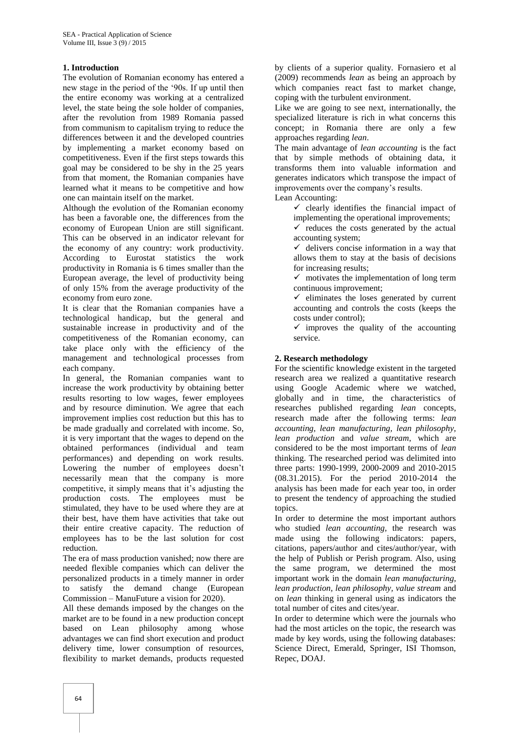#### **1. Introduction**

The evolution of Romanian economy has entered a new stage in the period of the "90s. If up until then the entire economy was working at a centralized level, the state being the sole holder of companies, after the revolution from 1989 Romania passed from communism to capitalism trying to reduce the differences between it and the developed countries by implementing a market economy based on competitiveness. Even if the first steps towards this goal may be considered to be shy in the 25 years from that moment, the Romanian companies have learned what it means to be competitive and how one can maintain itself on the market.

Although the evolution of the Romanian economy has been a favorable one, the differences from the economy of European Union are still significant. This can be observed in an indicator relevant for the economy of any country: work productivity. According to Eurostat statistics the work productivity in Romania is 6 times smaller than the European average, the level of productivity being of only 15% from the average productivity of the economy from euro zone.

It is clear that the Romanian companies have a technological handicap, but the general and sustainable increase in productivity and of the competitiveness of the Romanian economy, can take place only with the efficiency of the management and technological processes from each company.

In general, the Romanian companies want to increase the work productivity by obtaining better results resorting to low wages, fewer employees and by resource diminution. We agree that each improvement implies cost reduction but this has to be made gradually and correlated with income. So, it is very important that the wages to depend on the obtained performances (individual and team performances) and depending on work results. Lowering the number of employees doesn"t necessarily mean that the company is more competitive, it simply means that it"s adjusting the production costs. The employees must be stimulated, they have to be used where they are at their best, have them have activities that take out their entire creative capacity. The reduction of employees has to be the last solution for cost reduction.

The era of mass production vanished; now there are needed flexible companies which can deliver the personalized products in a timely manner in order to satisfy the demand change (European Commission – ManuFuture a vision for 2020).

All these demands imposed by the changes on the market are to be found in a new production concept based on Lean philosophy among whose advantages we can find short execution and product delivery time, lower consumption of resources, flexibility to market demands, products requested

by clients of a superior quality. Fornasiero et al (2009) recommends *lean* as being an approach by which companies react fast to market change, coping with the turbulent environment.

Like we are going to see next, internationally, the specialized literature is rich in what concerns this concept; in Romania there are only a few approaches regarding *lean*.

The main advantage of *lean accounting* is the fact that by simple methods of obtaining data, it transforms them into valuable information and generates indicators which transpose the impact of improvements over the company"s results.

Lean Accounting:

 $\checkmark$  clearly identifies the financial impact of implementing the operational improvements;

 $\checkmark$  reduces the costs generated by the actual accounting system;

 $\checkmark$  delivers concise information in a way that allows them to stay at the basis of decisions for increasing results;

 $\checkmark$  motivates the implementation of long term continuous improvement;

 $\checkmark$  eliminates the loses generated by current accounting and controls the costs (keeps the costs under control);

 $\checkmark$  improves the quality of the accounting service.

## **2. Research methodology**

For the scientific knowledge existent in the targeted research area we realized a quantitative research using Google Academic where we watched, globally and in time, the characteristics of researches published regarding *lean* concepts, research made after the following terms: *lean accounting, lean manufacturing, lean philosophy, lean production* and *value stream*, which are considered to be the most important terms of *lean*  thinking. The researched period was delimited into three parts: 1990-1999, 2000-2009 and 2010-2015 (08.31.2015). For the period 2010-2014 the analysis has been made for each year too, in order to present the tendency of approaching the studied topics.

In order to determine the most important authors who studied *lean accounting*, the research was made using the following indicators: papers, citations, papers/author and cites/author/year, with the help of Publish or Perish program. Also, using the same program, we determined the most important work in the domain *lean manufacturing, lean production, lean philosophy, value stream* and on *lean* thinking in general using as indicators the total number of cites and cites/year.

In order to determine which were the journals who had the most articles on the topic, the research was made by key words, using the following databases: Science Direct, Emerald, Springer, ISI Thomson, Repec, DOAJ.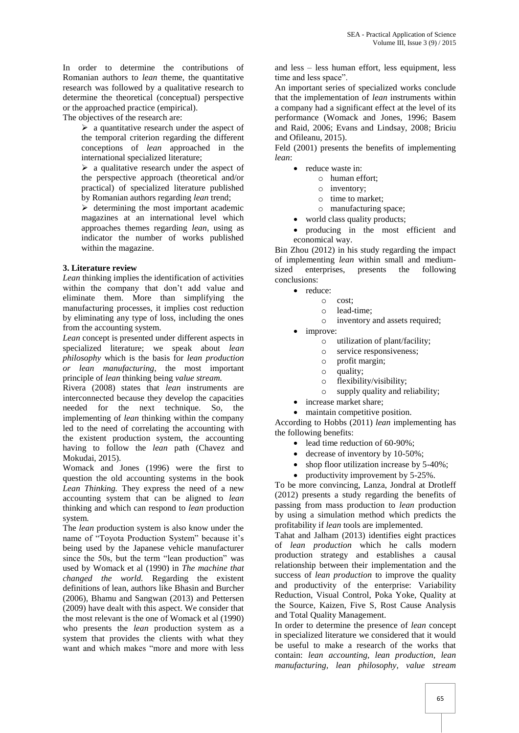In order to determine the contributions of Romanian authors to *lean* theme, the quantitative research was followed by a qualitative research to determine the theoretical (conceptual) perspective or the approached practice (empirical).

The objectives of the research are:

 $\triangleright$  a quantitative research under the aspect of the temporal criterion regarding the different conceptions of *lean* approached in the international specialized literature;

 $\triangleright$  a qualitative research under the aspect of the perspective approach (theoretical and/or practical) of specialized literature published by Romanian authors regarding *lean* trend;

 $\triangleright$  determining the most important academic magazines at an international level which approaches themes regarding *lean*, using as indicator the number of works published within the magazine.

## **3. Literature review**

*Lean* thinking implies the identification of activities within the company that don"t add value and eliminate them. More than simplifying the manufacturing processes, it implies cost reduction by eliminating any type of loss, including the ones from the accounting system.

*Lean* concept is presented under different aspects in specialized literature; we speak about *lean philosophy* which is the basis for *lean production or lean manufacturing,* the most important principle of *lean* thinking being *value stream.*

Rivera (2008) states that *lean* instruments are interconnected because they develop the capacities needed for the next technique. So, the implementing of *lean* thinking within the company led to the need of correlating the accounting with the existent production system, the accounting having to follow the *lean* path (Chavez and Mokudai, 2015).

Womack and Jones (1996) were the first to question the old accounting systems in the book *Lean Thinking.* They express the need of a new accounting system that can be aligned to *lean* thinking and which can respond to *lean* production system.

The *lean* production system is also know under the name of "Toyota Production System" because it's being used by the Japanese vehicle manufacturer since the 50s, but the term "lean production" was used by Womack et al (1990) in *The machine that changed the world.* Regarding the existent definitions of lean, authors like Bhasin and Burcher (2006), Bhamu and Sangwan (2013) and Pettersen (2009) have dealt with this aspect. We consider that the most relevant is the one of Womack et al (1990) who presents the *lean* production system as a system that provides the clients with what they want and which makes "more and more with less

and less – less human effort, less equipment, less time and less space".

An important series of specialized works conclude that the implementation of *lean* instruments within a company had a significant effect at the level of its performance (Womack and Jones, 1996; Basem and Raid, 2006; Evans and Lindsay, 2008; Briciu and Ofileanu, 2015).

Feld (2001) presents the benefits of implementing *lean*:

- reduce waste in:
	- o human effort;
		- o inventory;
		- o time to market;
	- o manufacturing space;
- world class quality products;

 producing in the most efficient and economical way.

Bin Zhou (2012) in his study regarding the impact of implementing *lean* within small and mediumsized enterprises, presents the following conclusions:

- reduce:
	- o cost;
		- o lead-time;
		- o inventory and assets required;
	- improve:
		- o utilization of plant/facility;
		- o service responsiveness;
		- o profit margin;
		- o quality;
		- o flexibility/visibility;
		- o supply quality and reliability;
- increase market share;

• maintain competitive position. According to Hobbs (2011) *lean* implementing has the following benefits:

- lead time reduction of 60-90%;
- decrease of inventory by 10-50%;
- shop floor utilization increase by 5-40%;
- productivity improvement by  $5-25\%$ .

To be more convincing, Lanza, Jondral at Drotleff (2012) presents a study regarding the benefits of passing from mass production to *lean* production by using a simulation method which predicts the profitability if *lean* tools are implemented.

Tahat and Jalham (2013) identifies eight practices of *lean production* which he calls modern production strategy and establishes a causal relationship between their implementation and the success of *lean production* to improve the quality and productivity of the enterprise: Variability Reduction, Visual Control, Poka Yoke, Quality at the Source, Kaizen, Five S, Rost Cause Analysis and Total Quality Management.

In order to determine the presence of *lean* concept in specialized literature we considered that it would be useful to make a research of the works that contain: *lean accounting, lean production, lean manufacturing, lean philosophy, value stream*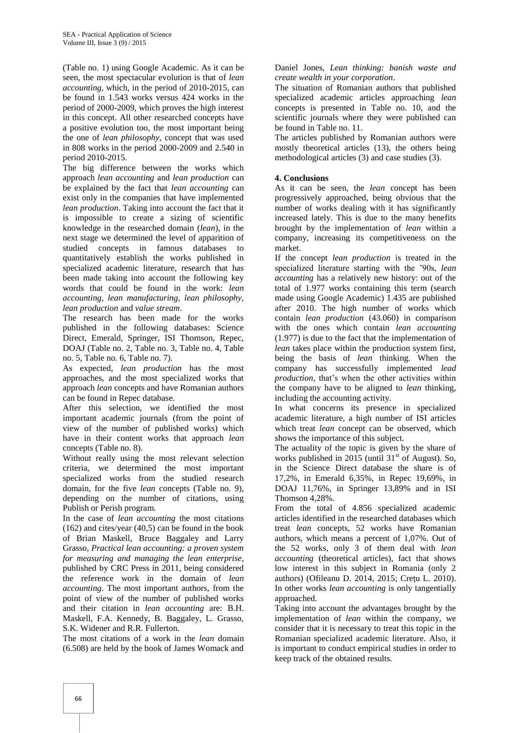(Table no. 1) using Google Academic. As it can be seen, the most spectacular evolution is that of *lean accounting*, which, in the period of 2010-2015, can be found in 1.543 works versus 424 works in the period of 2000-2009, which proves the high interest in this concept. All other researched concepts have a positive evolution too, the most important being the one of *lean philosophy*, concept that was used in 808 works in the period 2000-2009 and 2.540 in period 2010-2015.

The big difference between the works which approach *lean accounting* and *lean production* can be explained by the fact that *lean accounting* can exist only in the companies that have implemented *lean production*. Taking into account the fact that it is impossible to create a sizing of scientific knowledge in the researched domain (*lean*), in the next stage we determined the level of apparition of studied concepts in famous databases to quantitatively establish the works published in specialized academic literature, research that has been made taking into account the following key words that could be found in the work: *lean accounting, lean manufacturing, lean philosophy, lean production* and *value stream*.

The research has been made for the works published in the following databases: Science Direct, Emerald, Springer, ISI Thomson, Repec, DOAJ (Table no. 2, Table no. 3, Table no. 4, Table no. 5, Table no. 6, Table no. 7).

As expected, *lean production* has the most approaches, and the most specialized works that approach *lean* concepts and have Romanian authors can be found in Repec database.

After this selection, we identified the most important academic journals (from the point of view of the number of published works) which have in their content works that approach *lean*  concepts (Table no. 8).

Without really using the most relevant selection criteria, we determined the most important specialized works from the studied research domain, for the five *lean* concepts (Table no. 9), depending on the number of citations, using Publish or Perish program.

In the case of *lean accounting* the most citations (162) and cites/year (40,5) can be found in the book of Brian Maskell, Bruce Baggaley and Larry Grasso, *Practical lean accounting: a proven system for measuring and managing the lean enterprise*, published by CRC Press in 2011, being considered the reference work in the domain of *lean accounting*. The most important authors, from the point of view of the number of published works and their citation in *lean accounting* are: B.H. Maskell, F.A. Kennedy, B. Baggaley, L. Grasso, S.K. Widener and R.R. Fullerton.

The most citations of a work in the *lean* domain (6.508) are held by the book of James Womack and

Daniel Jones, *Lean thinking: banish waste and create wealth in your corporation*.

The situation of Romanian authors that published specialized academic articles approaching *lean* concepts is presented in Table no. 10, and the scientific journals where they were published can be found in Table no. 11.

The articles published by Romanian authors were mostly theoretical articles (13), the others being methodological articles (3) and case studies (3).

## **4. Conclusions**

As it can be seen, the *lean* concept has been progressively approached, being obvious that the number of works dealing with it has significantly increased lately. This is due to the many benefits brought by the implementation of *lean* within a company, increasing its competitiveness on the market.

If the concept *lean production* is treated in the specialized literature starting with the "90s, *lean accounting* has a relatively new history: out of the total of 1.977 works containing this term (search made using Google Academic) 1.435 are published after 2010. The high number of works which contain *lean production* (43.060) in comparison with the ones which contain *lean accounting* (1.977) is due to the fact that the implementation of *lean* takes place within the production system first, being the basis of *lean* thinking. When the company has successfully implemented *lead production,* that"s when the other activities within the company have to be aligned to *lean* thinking, including the accounting activity.

In what concerns its presence in specialized academic literature, a high number of ISI articles which treat *lean* concept can be observed, which shows the importance of this subject.

The actuality of the topic is given by the share of works published in 2015 (until  $31<sup>st</sup>$  of August). So, in the Science Direct database the share is of 17,2%, in Emerald 6,35%, in Repec 19,69%, in DOAJ 11,76%, in Springer 13,89% and in ISI Thomson 4,28%.

From the total of 4.856 specialized academic articles identified in the researched databases which treat *lean* concepts, 52 works have Romanian authors, which means a percent of 1,07%. Out of the 52 works, only 3 of them deal with *lean accounting* (theoretical articles), fact that shows low interest in this subject in Romania (only 2 authors) (Ofileanu D. 2014, 2015; Creţu L. 2010). In other works *lean accounting* is only tangentially approached.

Taking into account the advantages brought by the implementation of *lean* within the company, we consider that it is necessary to treat this topic in the Romanian specialized academic literature. Also, it is important to conduct empirical studies in order to keep track of the obtained results.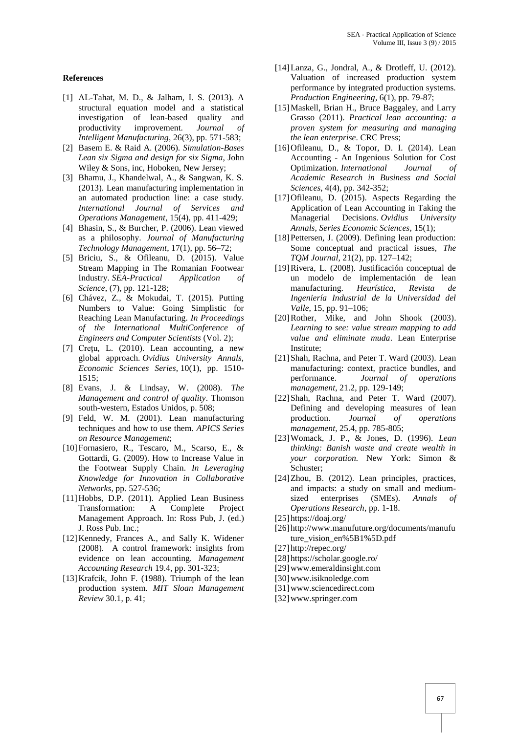#### **References**

- [1] AL-Tahat, M. D., & Jalham, I. S. (2013). A structural equation model and a statistical investigation of lean-based quality and productivity improvement. *Journal of Intelligent Manufacturing*, 26(3), pp. 571-583;
- [2] Basem E. & Raid A. (2006). *Simulation-Bases Lean six Sigma and design for six Sigma*, John Wiley & Sons, inc, Hoboken, New Jersey;
- [3] Bhamu, J., Khandelwal, A., & Sangwan, K. S. (2013). Lean manufacturing implementation in an automated production line: a case study. *International Journal of Services and Operations Management*, 15(4), pp. 411-429;
- [4] Bhasin, S., & Burcher, P. (2006). Lean viewed as a philosophy. *Journal of Manufacturing Technology Management*, 17(1), pp. 56–72;
- [5] Briciu, S., & Ofileanu, D. (2015). Value Stream Mapping in The Romanian Footwear Industry. *SEA-Practical Application of Science*, (7), pp. 121-128;
- [6] Chávez, Z., & Mokudai, T. (2015). Putting Numbers to Value: Going Simplistic for Reaching Lean Manufacturing. *In Proceedings of the International MultiConference of Engineers and Computer Scientists* (Vol. 2);
- [7] Crețu, L. (2010). Lean accounting, a new global approach. *Ovidius University Annals, Economic Sciences Series*, 10(1), pp. 1510- 1515;
- [8] Evans, J. & Lindsay, W. (2008). *The Management and control of quality*. Thomson south-western, Estados Unidos, p. 508;
- [9] Feld, W. M. (2001). Lean manufacturing techniques and how to use them. *APICS Series on Resource Management*;
- [10]Fornasiero, R., Tescaro, M., Scarso, E., & Gottardi, G. (2009). How to Increase Value in the Footwear Supply Chain. *In Leveraging Knowledge for Innovation in Collaborative Networks*, pp. 527-536;
- [11]Hobbs, D.P. (2011). Applied Lean Business Transformation: A Complete Project Management Approach. In: Ross Pub, J. (ed.) J. Ross Pub. Inc.;
- [12]Kennedy, Frances A., and Sally K. Widener (2008). A control framework: insights from evidence on lean accounting. *Management Accounting Research* 19.4, pp. 301-323;
- [13]Krafcik, John F. (1988). Triumph of the lean production system. *MIT Sloan Management Review* 30.1, p. 41;
- [14]Lanza, G., Jondral, A., & Drotleff, U. (2012). Valuation of increased production system performance by integrated production systems. *Production Engineering*, 6(1), pp. 79-87;
- [15] Maskell, Brian H., Bruce Baggaley, and Larry Grasso (2011). *Practical lean accounting: a proven system for measuring and managing the lean enterprise*. CRC Press;
- [16] Ofileanu, D., & Topor, D. I. (2014). Lean Accounting - An Ingenious Solution for Cost Optimization. *International Journal of Academic Research in Business and Social Sciences*, 4(4), pp. 342-352;
- [17]Ofileanu, D. (2015). Aspects Regarding the Application of Lean Accounting in Taking the Managerial Decisions. *Ovidius University Annals, Series Economic Sciences*, 15(1);
- [18] Pettersen, J. (2009). Defining lean production: Some conceptual and practical issues, *The TQM Journal*, 21(2), pp. 127–142;
- [19]Rivera, L. (2008). Justificación conceptual de un modelo de implementación de lean manufacturing. *Heurística, Revista de Ingeniería Industrial de la Universidad del Valle*, 15, pp. 91–106;
- [20]Rother, Mike, and John Shook (2003). *Learning to see: value stream mapping to add value and eliminate muda*. Lean Enterprise Institute;
- [21] Shah, Rachna, and Peter T. Ward (2003). Lean manufacturing: context, practice bundles, and performance. *Journal of operations management*, 21.2, pp. 129-149;
- [22] Shah, Rachna, and Peter T. Ward (2007). Defining and developing measures of lean production. *Journal of operations management*, 25.4, pp. 785-805;
- [23]Womack, J. P., & Jones, D. (1996). *Lean thinking: Banish waste and create wealth in your corporation.* New York: Simon & Schuster;
- [24]Zhou, B. (2012). Lean principles, practices, and impacts: a study on small and mediumsized enterprises (SMEs). *Annals of Operations Research*, pp. 1-18.
- [25] https://doaj.org/
- [26] http://www.manufuture.org/documents/manufu ture\_vision\_en%5B1%5D.pdf
- [27] http://repec.org/
- [28] https://scholar.google.ro/
- [29]www.emeraldinsight.com
- [30]www.isiknoledge.com
- [31]www.sciencedirect.com
- [32]www.springer.com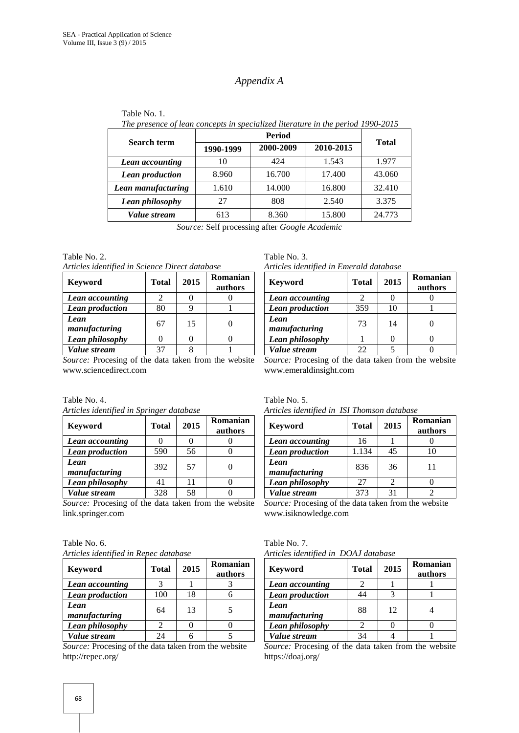# *Appendix A*

| <b>Search term</b> | 1990-1999 | 2000-2009<br>2010-2015 |        | <b>Total</b> |  |
|--------------------|-----------|------------------------|--------|--------------|--|
| Lean accounting    | 10        | 424                    | 1.543  | 1.977        |  |
| Lean production    | 8.960     | 16.700                 | 17.400 | 43.060       |  |
| Lean manufacturing | 1.610     | 14.000                 | 16.800 | 32.410       |  |
| Lean philosophy    | 27        | 808                    | 2.540  | 3.375        |  |
| Value stream       | 613       | 8.360                  | 15.800 | 24.773       |  |

| Table No. 1.                                                                    |
|---------------------------------------------------------------------------------|
| The presence of lean concepts in specialized literature in the period 1990-2015 |

*Source:* Self processing after *Google Academic*

Table No. 2.

*Articles identified in Science Direct database*

| <b>Keyword</b>        | <b>Total</b> | 2015 | Romanian<br>authors |
|-----------------------|--------------|------|---------------------|
| Lean accounting       | 2            |      |                     |
| Lean production       | 80           |      |                     |
| Lean<br>manufacturing | 67           | 15   |                     |
| Lean philosophy       |              |      |                     |
| Value stream          |              |      |                     |

*Source:* Procesing of the data taken from the website www.sciencedirect.com

Table No. 4.

|  | Articles identified in Springer database |
|--|------------------------------------------|
|  |                                          |

| <b>Keyword</b>         | <b>Total</b> | 2015 | Romanian<br>authors |
|------------------------|--------------|------|---------------------|
| Lean accounting        |              |      |                     |
| <b>Lean production</b> | 590          | 56   |                     |
| Lean<br>manufacturing  | 392          | 57   |                     |
| Lean philosophy        | 41           | 11   |                     |
| Value stream           | 328          | 58   |                     |

*Source:* Procesing of the data taken from the website link.springer.com

Table No. 6. *Articles identified in Repec database*

| <b>Keyword</b>        | <b>Total</b> | 2015 | Romanian<br>authors |
|-----------------------|--------------|------|---------------------|
| Lean accounting       |              |      |                     |
| Lean production       | 100          | 18   |                     |
| Lean<br>manufacturing | 64           | 13   |                     |
| Lean philosophy       |              |      |                     |
| Value stream          | 7Δ           |      |                     |

*Source:* Procesing of the data taken from the website http://repec.org/

| Table No. 3.                            |  |
|-----------------------------------------|--|
| Articles identified in Emerald database |  |

| <b>Keyword</b>        | <b>Total</b> | 2015 | Romanian<br>authors |
|-----------------------|--------------|------|---------------------|
| Lean accounting       |              |      |                     |
| Lean production       | 359          | 10   |                     |
| Lean<br>manufacturing | 73           | 14   |                     |
| Lean philosophy       |              |      |                     |
| Value stream          | 22           |      |                     |

*Source:* Procesing of the data taken from the website www.emeraldinsight.com

Table No. 5.

| Articles identified in ISI Thomson database |              |    |                     |  |  |
|---------------------------------------------|--------------|----|---------------------|--|--|
| <b>Keyword</b>                              | <b>Total</b> |    | Romanian<br>authors |  |  |
| Lean accounting                             | 16           |    |                     |  |  |
| Lean production                             | 1.134        | 45 | 10                  |  |  |
| Lean<br>manufacturing                       | 836          | 36 |                     |  |  |
| Lean philosophy                             | 27           | 2  |                     |  |  |
| Value stream                                | 373          | 31 |                     |  |  |

*Source:* Procesing of the data taken from the website www.isiknowledge.com

#### Table No. 7. *Articles identified in DOAJ database*

| <b>Keyword</b>        | <b>Total</b> | 2015 | Romanian<br>authors |
|-----------------------|--------------|------|---------------------|
| Lean accounting       |              |      |                     |
| Lean production       | 44           |      |                     |
| Lean<br>manufacturing | 88           | 12   |                     |
| Lean philosophy       |              |      |                     |
| Value stream          |              |      |                     |

*Source:* Procesing of the data taken from the website https://doaj.org/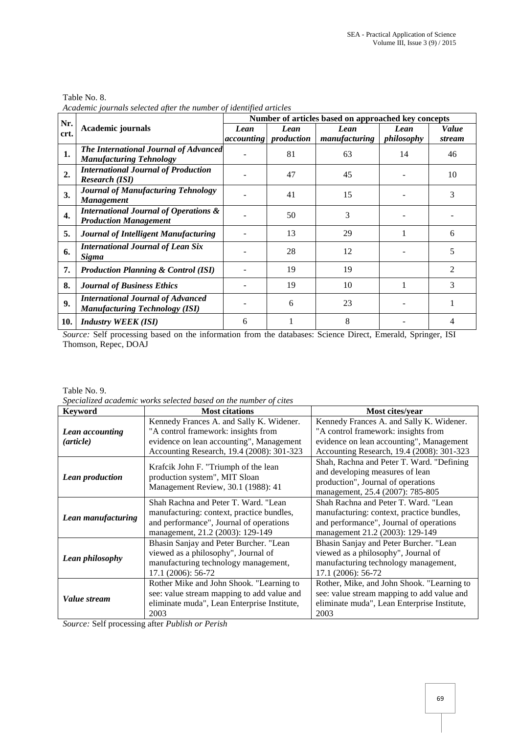| Table No. 8.                                                       |  |
|--------------------------------------------------------------------|--|
| Academic journals selected after the number of identified articles |  |

| Nr.          |                                                                                   | Number of articles based on approached key concepts |                                      |                       |                    |                 |  |
|--------------|-----------------------------------------------------------------------------------|-----------------------------------------------------|--------------------------------------|-----------------------|--------------------|-----------------|--|
| crt.         | <b>Academic journals</b>                                                          | Lean                                                | Lean<br><i>accounting production</i> | Lean<br>manufacturing | Lean<br>philosophy | Value<br>stream |  |
| 1.           | The International Journal of Advanced<br><b>Manufacturing Tehnology</b>           |                                                     | 81                                   | 63                    | 14                 | 46              |  |
| 2.           | <b>International Journal of Production</b><br><b>Research (ISI)</b>               |                                                     | 47                                   | 45                    |                    | 10              |  |
| 3.           | <b>Journal of Manufacturing Tehnology</b><br><b>Management</b>                    |                                                     | 41                                   | 15                    |                    | 3               |  |
| $\mathbf{4}$ | <b>International Journal of Operations &amp;</b><br><b>Production Management</b>  |                                                     | 50                                   | 3                     |                    |                 |  |
| 5.           | Journal of Intelligent Manufacturing                                              |                                                     | 13                                   | 29                    |                    | 6               |  |
| 6.           | <b>International Journal of Lean Six</b><br>Sigma                                 |                                                     | 28                                   | 12                    |                    | 5               |  |
| 7.           | <b>Production Planning &amp; Control (ISI)</b>                                    |                                                     | 19                                   | 19                    |                    | $\mathfrak{D}$  |  |
| 8.           | <b>Journal of Business Ethics</b>                                                 |                                                     | 19                                   | 10                    |                    | 3               |  |
| 9.           | <b>International Journal of Advanced</b><br><b>Manufacturing Technology (ISI)</b> |                                                     | 6                                    | 23                    |                    |                 |  |
| 10.          | <b>Industry WEEK (ISI)</b>                                                        | 6                                                   |                                      | 8                     |                    |                 |  |

*Source:* Self processing based on the information from the databases: Science Direct, Emerald, Springer, ISI Thomson, Repec, DOAJ

#### Table No. 9.

*Specialized academic works selected based on the number of cites*

| <b>Keyword</b>         | <b>Most citations</b>                       | Most cites/year                             |  |  |
|------------------------|---------------------------------------------|---------------------------------------------|--|--|
|                        | Kennedy Frances A. and Sally K. Widener.    | Kennedy Frances A. and Sally K. Widener.    |  |  |
| Lean accounting        | "A control framework: insights from         | "A control framework: insights from         |  |  |
| (article)              | evidence on lean accounting", Management    | evidence on lean accounting", Management    |  |  |
|                        | Accounting Research, 19.4 (2008): 301-323   | Accounting Research, 19.4 (2008): 301-323   |  |  |
|                        | Krafcik John F. "Triumph of the lean        | Shah, Rachna and Peter T. Ward. "Defining   |  |  |
|                        | production system", MIT Sloan               | and developing measures of lean             |  |  |
| <b>Lean production</b> | Management Review, 30.1 (1988): 41          | production", Journal of operations          |  |  |
|                        |                                             | management, 25.4 (2007): 785-805            |  |  |
|                        | Shah Rachna and Peter T. Ward. "Lean        | Shah Rachna and Peter T. Ward. "Lean        |  |  |
| Lean manufacturing     | manufacturing: context, practice bundles,   | manufacturing: context, practice bundles,   |  |  |
|                        | and performance", Journal of operations     | and performance", Journal of operations     |  |  |
|                        | management, 21.2 (2003): 129-149            | management 21.2 (2003): 129-149             |  |  |
|                        | Bhasin Sanjay and Peter Burcher. "Lean      | Bhasin Sanjay and Peter Burcher. "Lean      |  |  |
|                        | viewed as a philosophy", Journal of         | viewed as a philosophy", Journal of         |  |  |
| <b>Lean philosophy</b> | manufacturing technology management,        | manufacturing technology management,        |  |  |
|                        | 17.1 (2006): 56-72                          | 17.1 (2006): 56-72                          |  |  |
|                        | Rother Mike and John Shook. "Learning to    | Rother, Mike, and John Shook. "Learning to  |  |  |
| Value stream           | see: value stream mapping to add value and  | see: value stream mapping to add value and  |  |  |
|                        | eliminate muda", Lean Enterprise Institute, | eliminate muda", Lean Enterprise Institute, |  |  |
|                        | 2003                                        | 2003                                        |  |  |

*Source:* Self processing after *Publish or Perish*